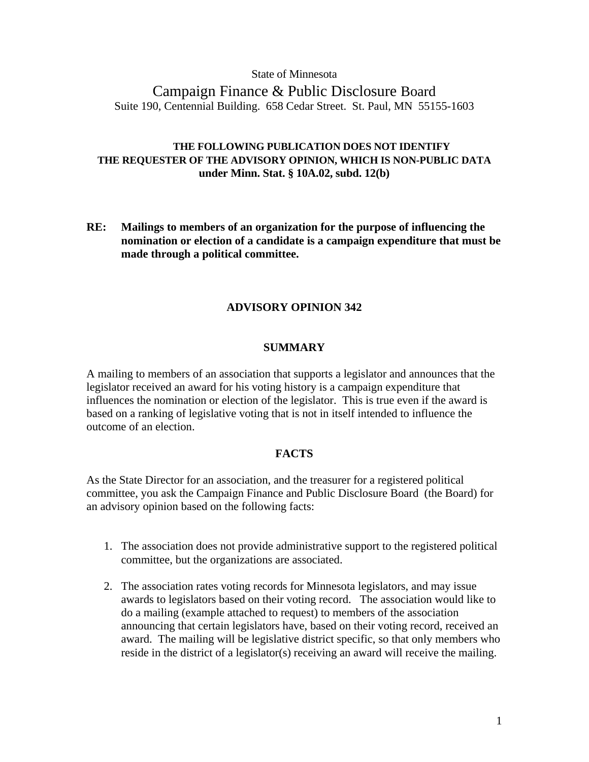### State of Minnesota

# Campaign Finance & Public Disclosure Board Suite 190, Centennial Building. 658 Cedar Street. St. Paul, MN 55155-1603

# **THE FOLLOWING PUBLICATION DOES NOT IDENTIFY THE REQUESTER OF THE ADVISORY OPINION, WHICH IS NON-PUBLIC DATA under Minn. Stat. § 10A.02, subd. 12(b)**

**RE: Mailings to members of an organization for the purpose of influencing the nomination or election of a candidate is a campaign expenditure that must be made through a political committee.**

# **ADVISORY OPINION 342**

### **SUMMARY**

A mailing to members of an association that supports a legislator and announces that the legislator received an award for his voting history is a campaign expenditure that influences the nomination or election of the legislator. This is true even if the award is based on a ranking of legislative voting that is not in itself intended to influence the outcome of an election.

#### **FACTS**

As the State Director for an association, and the treasurer for a registered political committee, you ask the Campaign Finance and Public Disclosure Board (the Board) for an advisory opinion based on the following facts:

- 1. The association does not provide administrative support to the registered political committee, but the organizations are associated.
- 2. The association rates voting records for Minnesota legislators, and may issue awards to legislators based on their voting record. The association would like to do a mailing (example attached to request) to members of the association announcing that certain legislators have, based on their voting record, received an award. The mailing will be legislative district specific, so that only members who reside in the district of a legislator(s) receiving an award will receive the mailing.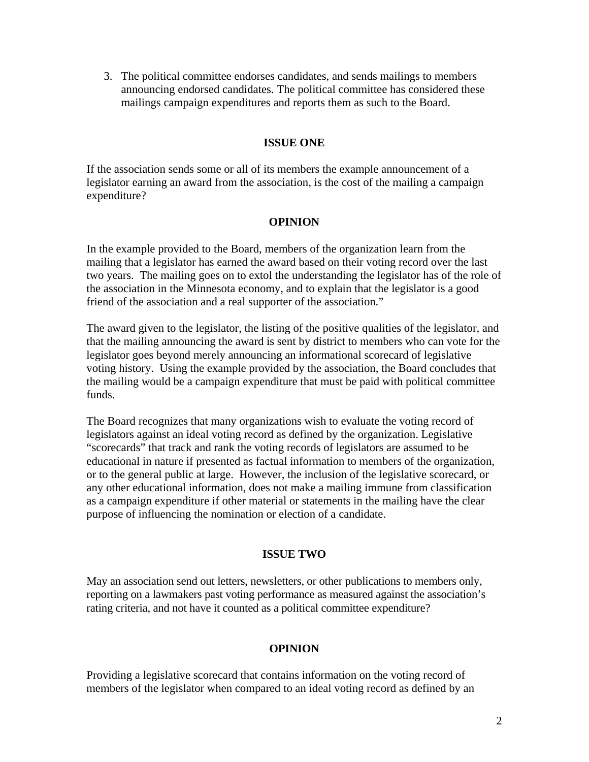3. The political committee endorses candidates, and sends mailings to members announcing endorsed candidates. The political committee has considered these mailings campaign expenditures and reports them as such to the Board.

# **ISSUE ONE**

If the association sends some or all of its members the example announcement of a legislator earning an award from the association, is the cost of the mailing a campaign expenditure?

### **OPINION**

In the example provided to the Board, members of the organization learn from the mailing that a legislator has earned the award based on their voting record over the last two years. The mailing goes on to extol the understanding the legislator has of the role of the association in the Minnesota economy, and to explain that the legislator is a good friend of the association and a real supporter of the association."

The award given to the legislator, the listing of the positive qualities of the legislator, and that the mailing announcing the award is sent by district to members who can vote for the legislator goes beyond merely announcing an informational scorecard of legislative voting history. Using the example provided by the association, the Board concludes that the mailing would be a campaign expenditure that must be paid with political committee funds.

The Board recognizes that many organizations wish to evaluate the voting record of legislators against an ideal voting record as defined by the organization. Legislative "scorecards" that track and rank the voting records of legislators are assumed to be educational in nature if presented as factual information to members of the organization, or to the general public at large. However, the inclusion of the legislative scorecard, or any other educational information, does not make a mailing immune from classification as a campaign expenditure if other material or statements in the mailing have the clear purpose of influencing the nomination or election of a candidate.

#### **ISSUE TWO**

May an association send out letters, newsletters, or other publications to members only, reporting on a lawmakers past voting performance as measured against the association's rating criteria, and not have it counted as a political committee expenditure?

#### **OPINION**

Providing a legislative scorecard that contains information on the voting record of members of the legislator when compared to an ideal voting record as defined by an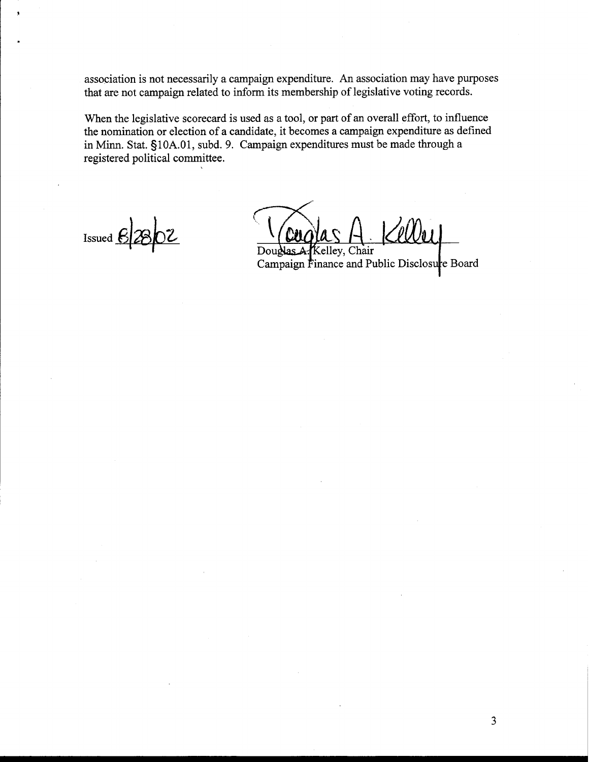association is not necessarily a campaign expenditure. An association may have purposes that are not campaign related to inform its membership of legislative voting records.

When the legislative scorecard is used as a tool, or part of an overall effort, to influence the nomination or election of a candidate, it becomes a campaign expenditure as defined in Minn. Stat. **5** 1 0A.01, subd. 9. Campaign expenditures must be made through a registered political committee.

Issued  $62802$ 

Douglas A. Kelley, Chair

Campaign Finance and Public Disclosure Board

 $\overline{3}$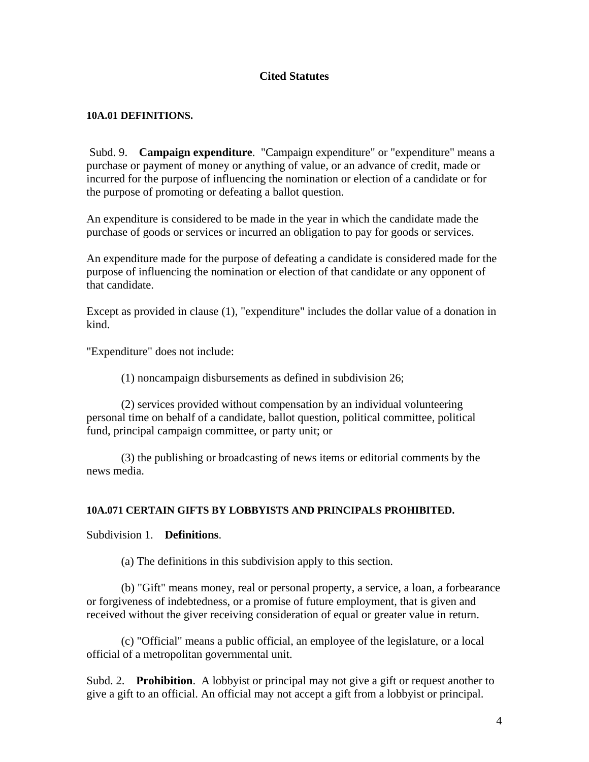# **Cited Statutes**

### **10A.01 DEFINITIONS.**

 Subd. 9. **Campaign expenditure**. "Campaign expenditure" or "expenditure" means a purchase or payment of money or anything of value, or an advance of credit, made or incurred for the purpose of influencing the nomination or election of a candidate or for the purpose of promoting or defeating a ballot question.

An expenditure is considered to be made in the year in which the candidate made the purchase of goods or services or incurred an obligation to pay for goods or services.

An expenditure made for the purpose of defeating a candidate is considered made for the purpose of influencing the nomination or election of that candidate or any opponent of that candidate.

Except as provided in clause (1), "expenditure" includes the dollar value of a donation in kind.

"Expenditure" does not include:

(1) noncampaign disbursements as defined in subdivision 26;

 (2) services provided without compensation by an individual volunteering personal time on behalf of a candidate, ballot question, political committee, political fund, principal campaign committee, or party unit; or

 (3) the publishing or broadcasting of news items or editorial comments by the news media.

### **10A.071 CERTAIN GIFTS BY LOBBYISTS AND PRINCIPALS PROHIBITED.**

Subdivision 1. **Definitions**.

(a) The definitions in this subdivision apply to this section.

 (b) "Gift" means money, real or personal property, a service, a loan, a forbearance or forgiveness of indebtedness, or a promise of future employment, that is given and received without the giver receiving consideration of equal or greater value in return.

 (c) "Official" means a public official, an employee of the legislature, or a local official of a metropolitan governmental unit.

Subd. 2. **Prohibition**. A lobbyist or principal may not give a gift or request another to give a gift to an official. An official may not accept a gift from a lobbyist or principal.